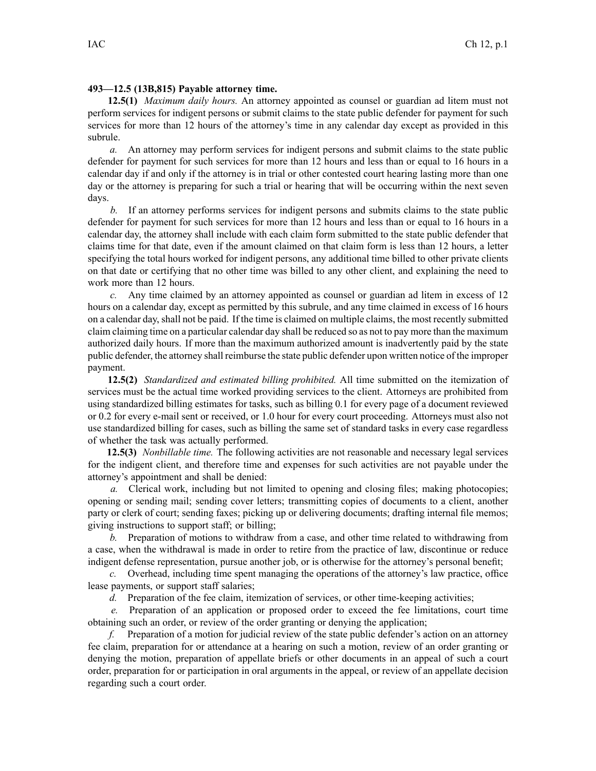## **493—12.5 (13B,815) Payable attorney time.**

**12.5(1)** *Maximum daily hours.* An attorney appointed as counsel or guardian ad litem must not perform services for indigent persons or submit claims to the state public defender for paymen<sup>t</sup> for such services for more than 12 hours of the attorney's time in any calendar day excep<sup>t</sup> as provided in this subrule.

*a.* An attorney may perform services for indigent persons and submit claims to the state public defender for paymen<sup>t</sup> for such services for more than 12 hours and less than or equal to 16 hours in <sup>a</sup> calendar day if and only if the attorney is in trial or other contested court hearing lasting more than one day or the attorney is preparing for such <sup>a</sup> trial or hearing that will be occurring within the next seven days.

*b.* If an attorney performs services for indigent persons and submits claims to the state public defender for paymen<sup>t</sup> for such services for more than 12 hours and less than or equal to 16 hours in <sup>a</sup> calendar day, the attorney shall include with each claim form submitted to the state public defender that claims time for that date, even if the amount claimed on that claim form is less than 12 hours, <sup>a</sup> letter specifying the total hours worked for indigent persons, any additional time billed to other private clients on that date or certifying that no other time was billed to any other client, and explaining the need to work more than 12 hours.

*c.* Any time claimed by an attorney appointed as counsel or guardian ad litem in excess of 12 hours on <sup>a</sup> calendar day, excep<sup>t</sup> as permitted by this subrule, and any time claimed in excess of 16 hours on <sup>a</sup> calendar day, shall not be paid. If the time is claimed on multiple claims, the most recently submitted claim claiming time on <sup>a</sup> particular calendar day shall be reduced so as not to pay more than the maximum authorized daily hours. If more than the maximum authorized amount is inadvertently paid by the state public defender, the attorney shall reimburse the state public defender upon written notice of the improper payment.

**12.5(2)** *Standardized and estimated billing prohibited.* All time submitted on the itemization of services must be the actual time worked providing services to the client. Attorneys are prohibited from using standardized billing estimates for tasks, such as billing 0.1 for every page of <sup>a</sup> document reviewed or 0.2 for every e-mail sent or received, or 1.0 hour for every court proceeding. Attorneys must also not use standardized billing for cases, such as billing the same set of standard tasks in every case regardless of whether the task was actually performed.

**12.5(3)** *Nonbillable time.* The following activities are not reasonable and necessary legal services for the indigent client, and therefore time and expenses for such activities are not payable under the attorney's appointment and shall be denied:

*a.* Clerical work, including but not limited to opening and closing files; making photocopies; opening or sending mail; sending cover letters; transmitting copies of documents to <sup>a</sup> client, another party or clerk of court; sending faxes; picking up or delivering documents; drafting internal file memos; giving instructions to suppor<sup>t</sup> staff; or billing;

*b.* Preparation of motions to withdraw from <sup>a</sup> case, and other time related to withdrawing from <sup>a</sup> case, when the withdrawal is made in order to retire from the practice of law, discontinue or reduce indigent defense representation, pursue another job, or is otherwise for the attorney's personal benefit;

*c.* Overhead, including time spen<sup>t</sup> managing the operations of the attorney's law practice, office lease payments, or suppor<sup>t</sup> staff salaries;

*d.* Preparation of the fee claim, itemization of services, or other time-keeping activities;

*e.* Preparation of an application or proposed order to exceed the fee limitations, court time obtaining such an order, or review of the order granting or denying the application;

*f.* Preparation of <sup>a</sup> motion for judicial review of the state public defender's action on an attorney fee claim, preparation for or attendance at <sup>a</sup> hearing on such <sup>a</sup> motion, review of an order granting or denying the motion, preparation of appellate briefs or other documents in an appeal of such <sup>a</sup> court order, preparation for or participation in oral arguments in the appeal, or review of an appellate decision regarding such <sup>a</sup> court order.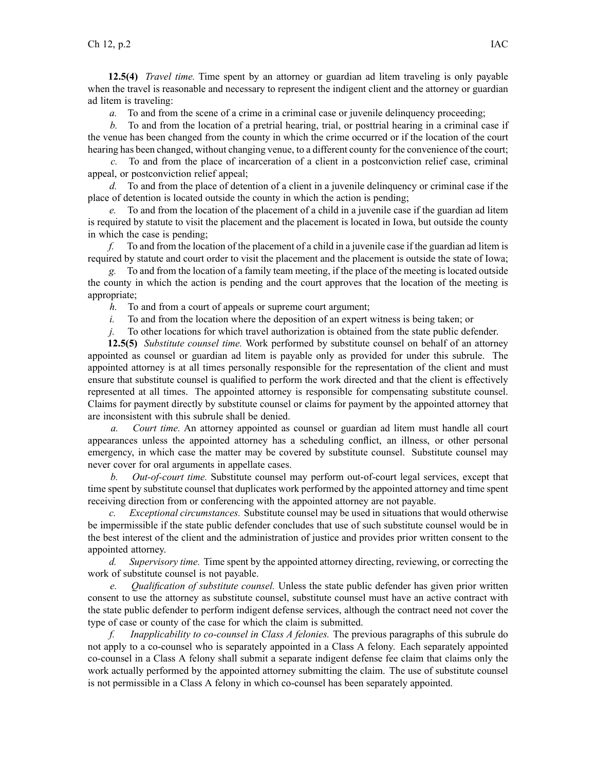**12.5(4)** *Travel time.* Time spen<sup>t</sup> by an attorney or guardian ad litem traveling is only payable when the travel is reasonable and necessary to represen<sup>t</sup> the indigent client and the attorney or guardian ad litem is traveling:

*a.* To and from the scene of <sup>a</sup> crime in <sup>a</sup> criminal case or juvenile delinquency proceeding;

*b.* To and from the location of <sup>a</sup> pretrial hearing, trial, or posttrial hearing in <sup>a</sup> criminal case if the venue has been changed from the county in which the crime occurred or if the location of the court hearing has been changed, without changing venue, to <sup>a</sup> different county for the convenience of the court;

*c.* To and from the place of incarceration of <sup>a</sup> client in <sup>a</sup> postconviction relief case, criminal appeal, or postconviction relief appeal;

*d.* To and from the place of detention of <sup>a</sup> client in <sup>a</sup> juvenile delinquency or criminal case if the place of detention is located outside the county in which the action is pending;

*e.* To and from the location of the placement of <sup>a</sup> child in <sup>a</sup> juvenile case if the guardian ad litem is required by statute to visit the placement and the placement is located in Iowa, but outside the county in which the case is pending;

*f.* To and from the location of the placement of <sup>a</sup> child in <sup>a</sup> juvenile case if the guardian ad litem is required by statute and court order to visit the placement and the placement is outside the state of Iowa;

*g.* To and from the location of <sup>a</sup> family team meeting, if the place of the meeting is located outside the county in which the action is pending and the court approves that the location of the meeting is appropriate;

*h.* To and from <sup>a</sup> court of appeals or supreme court argument;

*i.* To and from the location where the deposition of an expert witness is being taken; or

*j.* To other locations for which travel authorization is obtained from the state public defender.

**12.5(5)** *Substitute counsel time.* Work performed by substitute counsel on behalf of an attorney appointed as counsel or guardian ad litem is payable only as provided for under this subrule. The appointed attorney is at all times personally responsible for the representation of the client and must ensure that substitute counsel is qualified to perform the work directed and that the client is effectively represented at all times. The appointed attorney is responsible for compensating substitute counsel. Claims for paymen<sup>t</sup> directly by substitute counsel or claims for paymen<sup>t</sup> by the appointed attorney that are inconsistent with this subrule shall be denied.

*a. Court time.* An attorney appointed as counsel or guardian ad litem must handle all court appearances unless the appointed attorney has <sup>a</sup> scheduling conflict, an illness, or other personal emergency, in which case the matter may be covered by substitute counsel. Substitute counsel may never cover for oral arguments in appellate cases.

*b. Out-of-court time.* Substitute counsel may perform out-of-court legal services, excep<sup>t</sup> that time spen<sup>t</sup> by substitute counsel that duplicates work performed by the appointed attorney and time spen<sup>t</sup> receiving direction from or conferencing with the appointed attorney are not payable.

*c. Exceptional circumstances.* Substitute counsel may be used in situations that would otherwise be impermissible if the state public defender concludes that use of such substitute counsel would be in the best interest of the client and the administration of justice and provides prior written consent to the appointed attorney.

*d. Supervisory time.* Time spen<sup>t</sup> by the appointed attorney directing, reviewing, or correcting the work of substitute counsel is not payable.

*e. Qualification of substitute counsel.* Unless the state public defender has given prior written consent to use the attorney as substitute counsel, substitute counsel must have an active contract with the state public defender to perform indigent defense services, although the contract need not cover the type of case or county of the case for which the claim is submitted.

*f. Inapplicability to co-counsel in Class A felonies.* The previous paragraphs of this subrule do not apply to <sup>a</sup> co-counsel who is separately appointed in <sup>a</sup> Class A felony. Each separately appointed co-counsel in <sup>a</sup> Class A felony shall submit <sup>a</sup> separate indigent defense fee claim that claims only the work actually performed by the appointed attorney submitting the claim. The use of substitute counsel is not permissible in <sup>a</sup> Class A felony in which co-counsel has been separately appointed.